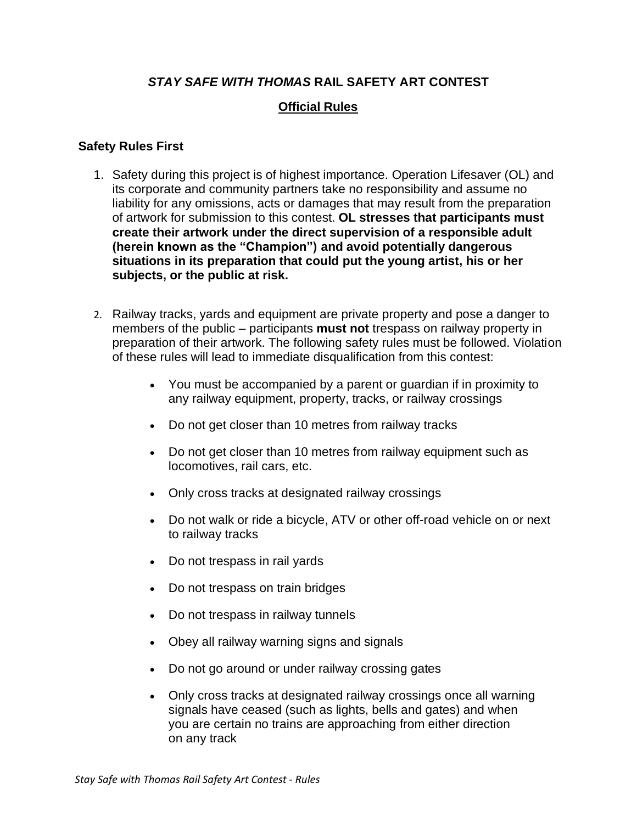# *STAY SAFE WITH THOMAS* **RAIL SAFETY ART CONTEST**

# **Official Rules**

#### **Safety Rules First**

- 1. Safety during this project is of highest importance. Operation Lifesaver (OL) and its corporate and community partners take no responsibility and assume no liability for any omissions, acts or damages that may result from the preparation of artwork for submission to this contest. **OL stresses that participants must create their artwork under the direct supervision of a responsible adult (herein known as the "Champion") and avoid potentially dangerous situations in its preparation that could put the young artist, his or her subjects, or the public at risk.**
- 2. Railway tracks, yards and equipment are private property and pose a danger to members of the public – participants **must not** trespass on railway property in preparation of their artwork. The following safety rules must be followed. Violation of these rules will lead to immediate disqualification from this contest:
	- You must be accompanied by a parent or guardian if in proximity to any railway equipment, property, tracks, or railway crossings
	- Do not get closer than 10 metres from railway tracks
	- Do not get closer than 10 metres from railway equipment such as locomotives, rail cars, etc.
	- Only cross tracks at designated railway crossings
	- Do not walk or ride a bicycle, ATV or other off-road vehicle on or next to railway tracks
	- Do not trespass in rail yards
	- Do not trespass on train bridges
	- Do not trespass in railway tunnels
	- Obey all railway warning signs and signals
	- Do not go around or under railway crossing gates
	- Only cross tracks at designated railway crossings once all warning signals have ceased (such as lights, bells and gates) and when you are certain no trains are approaching from either direction on any track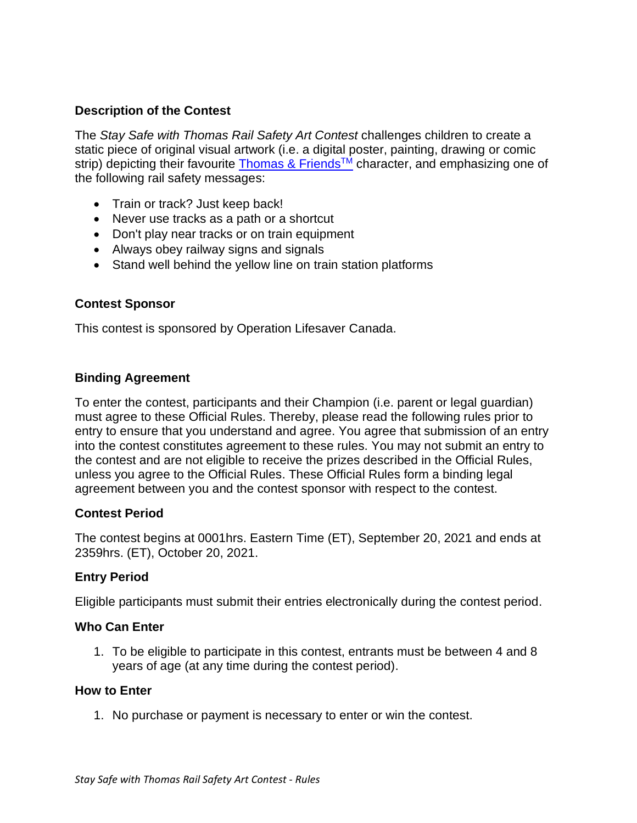### **Description of the Contest**

The *Stay Safe with Thomas Rail Safety Art Contest* challenges children to create a static piece of original visual artwork (i.e. a digital poster, painting, drawing or comic strip) depicting their favourite [Thomas & Friends](https://www.thomasandfriends.com/en-ca/)<sup>™</sup> character, and emphasizing one of the following rail safety messages:

- Train or track? Just keep back!
- Never use tracks as a path or a shortcut
- Don't play near tracks or on train equipment
- Always obey railway signs and signals
- Stand well behind the yellow line on train station platforms

### **Contest Sponsor**

This contest is sponsored by Operation Lifesaver Canada.

### **Binding Agreement**

To enter the contest, participants and their Champion (i.e. parent or legal guardian) must agree to these Official Rules. Thereby, please read the following rules prior to entry to ensure that you understand and agree. You agree that submission of an entry into the contest constitutes agreement to these rules. You may not submit an entry to the contest and are not eligible to receive the prizes described in the Official Rules, unless you agree to the Official Rules. These Official Rules form a binding legal agreement between you and the contest sponsor with respect to the contest.

### **Contest Period**

The contest begins at 0001hrs. Eastern Time (ET), September 20, 2021 and ends at 2359hrs. (ET), October 20, 2021.

### **Entry Period**

Eligible participants must submit their entries electronically during the contest period.

### **Who Can Enter**

1. To be eligible to participate in this contest, entrants must be between 4 and 8 years of age (at any time during the contest period).

#### **How to Enter**

1. No purchase or payment is necessary to enter or win the contest.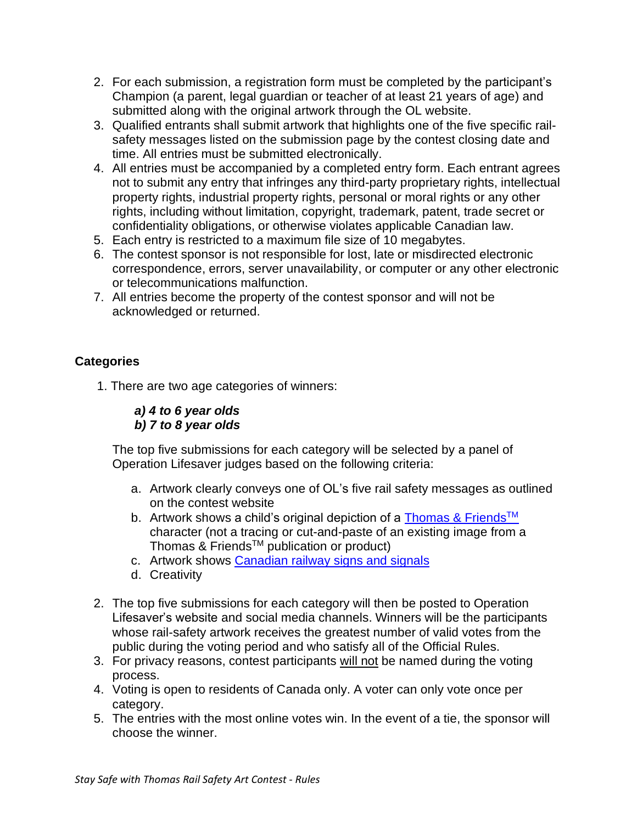- 2. For each submission, a registration form must be completed by the participant's Champion (a parent, legal guardian or teacher of at least 21 years of age) and submitted along with the original artwork through the OL website.
- 3. Qualified entrants shall submit artwork that highlights one of the five specific railsafety messages listed on the submission page by the contest closing date and time. All entries must be submitted electronically.
- 4. All entries must be accompanied by a completed entry form. Each entrant agrees not to submit any entry that infringes any third-party proprietary rights, intellectual property rights, industrial property rights, personal or moral rights or any other rights, including without limitation, copyright, trademark, patent, trade secret or confidentiality obligations, or otherwise violates applicable Canadian law.
- 5. Each entry is restricted to a maximum file size of 10 megabytes.
- 6. The contest sponsor is not responsible for lost, late or misdirected electronic correspondence, errors, server unavailability, or computer or any other electronic or telecommunications malfunction.
- 7. All entries become the property of the contest sponsor and will not be acknowledged or returned.

# **Categories**

- 1. There are two age categories of winners:
	- *a) 4 to 6 year olds b) 7 to 8 year olds*

The top five submissions for each category will be selected by a panel of Operation Lifesaver judges based on the following criteria:

- a. Artwork clearly conveys one of OL's five rail safety messages as outlined on the contest website
- b. Artwork shows a child's original depiction of a [Thomas & Friends](https://www.thomasandfriends.com/en-ca/)<sup>TM</sup> character (not a tracing or cut-and-paste of an existing image from a Thomas & FriendsTM publication or product)
- c. Artwork shows [Canadian railway signs and signals](https://www.operationlifesaver.ca/resources/signs-devices/)
- d. Creativity
- 2. The top five submissions for each category will then be posted to Operation Lifesaver's website and social media channels. Winners will be the participants whose rail-safety artwork receives the greatest number of valid votes from the public during the voting period and who satisfy all of the Official Rules.
- 3. For privacy reasons, contest participants will not be named during the voting process.
- 4. Voting is open to residents of Canada only. A voter can only vote once per category.
- 5. The entries with the most online votes win. In the event of a tie, the sponsor will choose the winner.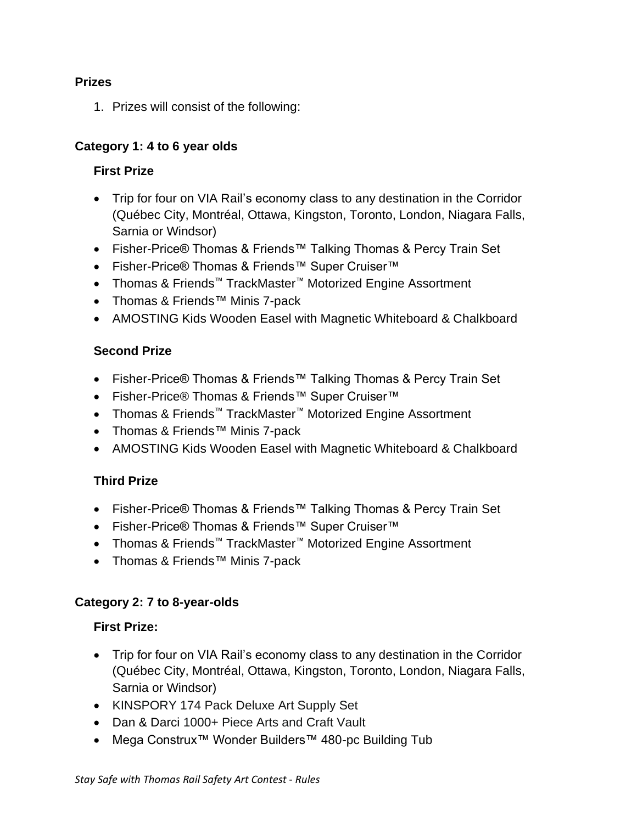# **Prizes**

1. Prizes will consist of the following:

# **Category 1: 4 to 6 year olds**

# **First Prize**

- Trip for four on VIA Rail's economy class to any destination in the Corridor (Québec City, Montréal, Ottawa, Kingston, Toronto, London, Niagara Falls, Sarnia or Windsor)
- Fisher-Price® Thomas & Friends™ Talking Thomas & Percy Train Set
- Fisher-Price® Thomas & Friends™ Super Cruiser™
- Thomas & Friends™ TrackMaster™ Motorized Engine Assortment
- Thomas & Friends™ Minis 7-pack
- AMOSTING Kids Wooden Easel with Magnetic Whiteboard & Chalkboard

# **Second Prize**

- Fisher-Price® Thomas & Friends™ Talking Thomas & Percy Train Set
- Fisher-Price® Thomas & Friends™ Super Cruiser™
- Thomas & Friends™ TrackMaster™ Motorized Engine Assortment
- Thomas & Friends™ Minis 7-pack
- AMOSTING Kids Wooden Easel with Magnetic Whiteboard & Chalkboard

# **Third Prize**

- Fisher-Price® Thomas & Friends™ Talking Thomas & Percy Train Set
- Fisher-Price® Thomas & Friends™ Super Cruiser™
- Thomas & Friends™ TrackMaster™ Motorized Engine Assortment
- Thomas & Friends™ Minis 7-pack

# **Category 2: 7 to 8-year-olds**

# **First Prize:**

- Trip for four on VIA Rail's economy class to any destination in the Corridor (Québec City, Montréal, Ottawa, Kingston, Toronto, London, Niagara Falls, Sarnia or Windsor)
- KINSPORY 174 Pack Deluxe Art Supply Set
- Dan & Darci 1000+ Piece Arts and Craft Vault
- Mega Construx™ Wonder Builders™ 480-pc Building Tub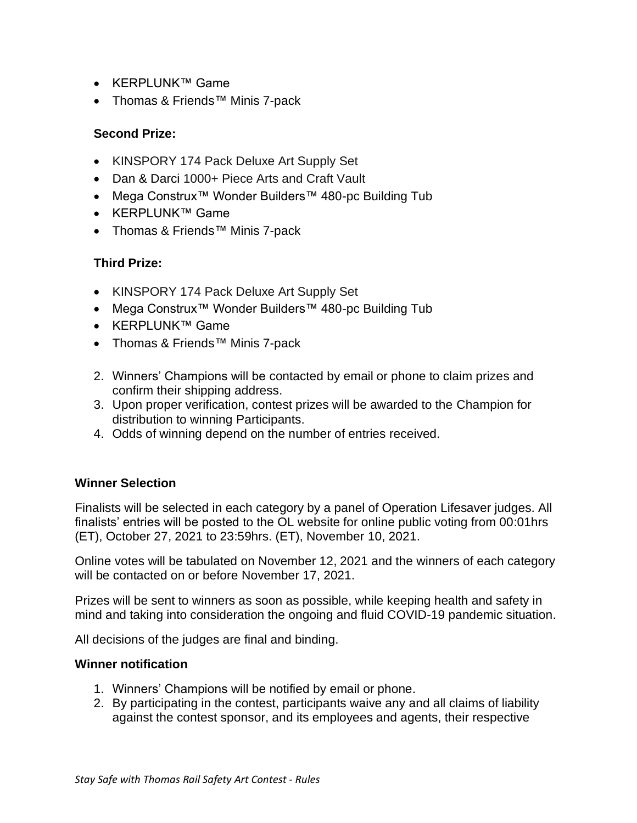- KERPLUNK™ Game
- Thomas & Friends™ Minis 7-pack

# **Second Prize:**

- KINSPORY 174 Pack Deluxe Art Supply Set
- Dan & Darci 1000+ Piece Arts and Craft Vault
- Mega Construx™ Wonder Builders™ 480-pc Building Tub
- KERPLUNK™ Game
- Thomas & Friends™ Minis 7-pack

### **Third Prize:**

- KINSPORY 174 Pack Deluxe Art Supply Set
- Mega Construx™ Wonder Builders™ 480-pc Building Tub
- KERPLUNK™ Game
- Thomas & Friends™ Minis 7-pack
- 2. Winners' Champions will be contacted by email or phone to claim prizes and confirm their shipping address.
- 3. Upon proper verification, contest prizes will be awarded to the Champion for distribution to winning Participants.
- 4. Odds of winning depend on the number of entries received.

### **Winner Selection**

Finalists will be selected in each category by a panel of Operation Lifesaver judges. All finalists' entries will be posted to the OL website for online public voting from 00:01hrs (ET), October 27, 2021 to 23:59hrs. (ET), November 10, 2021.

Online votes will be tabulated on November 12, 2021 and the winners of each category will be contacted on or before November 17, 2021.

Prizes will be sent to winners as soon as possible, while keeping health and safety in mind and taking into consideration the ongoing and fluid COVID-19 pandemic situation.

All decisions of the judges are final and binding.

### **Winner notification**

- 1. Winners' Champions will be notified by email or phone.
- 2. By participating in the contest, participants waive any and all claims of liability against the contest sponsor, and its employees and agents, their respective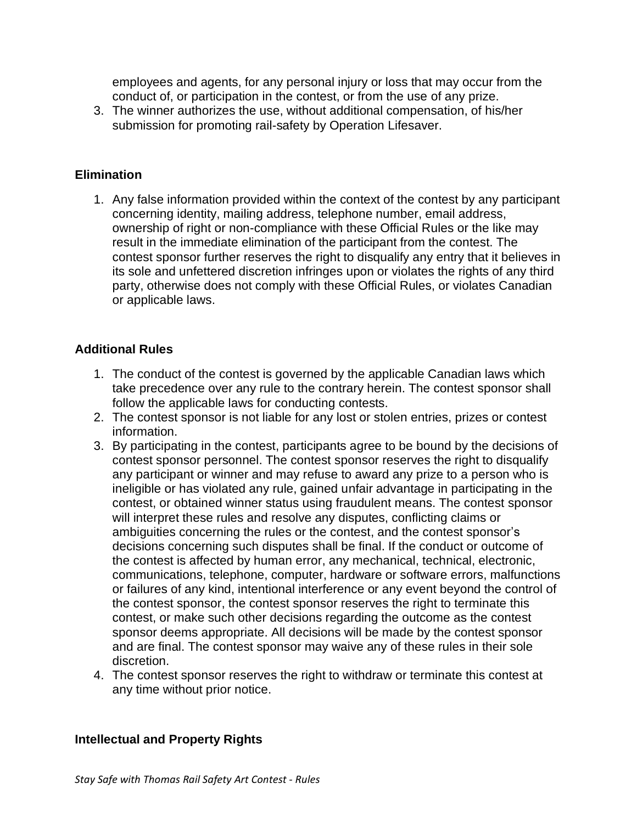employees and agents, for any personal injury or loss that may occur from the conduct of, or participation in the contest, or from the use of any prize.

3. The winner authorizes the use, without additional compensation, of his/her submission for promoting rail-safety by Operation Lifesaver.

### **Elimination**

1. Any false information provided within the context of the contest by any participant concerning identity, mailing address, telephone number, email address, ownership of right or non-compliance with these Official Rules or the like may result in the immediate elimination of the participant from the contest. The contest sponsor further reserves the right to disqualify any entry that it believes in its sole and unfettered discretion infringes upon or violates the rights of any third party, otherwise does not comply with these Official Rules, or violates Canadian or applicable laws.

#### **Additional Rules**

- 1. The conduct of the contest is governed by the applicable Canadian laws which take precedence over any rule to the contrary herein. The contest sponsor shall follow the applicable laws for conducting contests.
- 2. The contest sponsor is not liable for any lost or stolen entries, prizes or contest information.
- 3. By participating in the contest, participants agree to be bound by the decisions of contest sponsor personnel. The contest sponsor reserves the right to disqualify any participant or winner and may refuse to award any prize to a person who is ineligible or has violated any rule, gained unfair advantage in participating in the contest, or obtained winner status using fraudulent means. The contest sponsor will interpret these rules and resolve any disputes, conflicting claims or ambiguities concerning the rules or the contest, and the contest sponsor's decisions concerning such disputes shall be final. If the conduct or outcome of the contest is affected by human error, any mechanical, technical, electronic, communications, telephone, computer, hardware or software errors, malfunctions or failures of any kind, intentional interference or any event beyond the control of the contest sponsor, the contest sponsor reserves the right to terminate this contest, or make such other decisions regarding the outcome as the contest sponsor deems appropriate. All decisions will be made by the contest sponsor and are final. The contest sponsor may waive any of these rules in their sole discretion.
- 4. The contest sponsor reserves the right to withdraw or terminate this contest at any time without prior notice.

### **Intellectual and Property Rights**